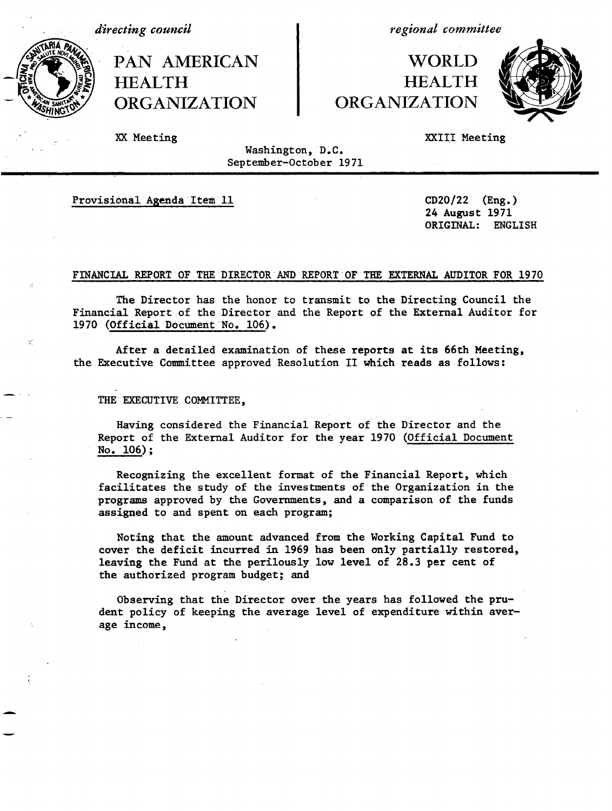*directing council*

PAN AMERICAN **HEALTH** ORGANIZATION

*regional committee*

## WORLD **HEALTH** ORGANIZATION



XX Meeting

XXIII Meeting

Washington, D.C. September-October 1971 ri i saman saman salah sahiji di terbesar kecamatan dan terbesar kecamatan di sebelum dan berasa dalam setela

Provisional Agenda Item 11

 $\mathcal{G}$ 

24 August 1971 ORIGINAL:  $CD20/22$  (Eng.) ENGLISH

## FINANCIAL REPORT OF THE DIRECTOR AND REPORT OF THE EXTERNAL AUDITOR FOR 1970

The Director has the honor to transmit to the Directing Council the Financial Report of the Director and the Report of the External Auditor for 1970 (Official Document No. 106).

After a detailed examination of these reports at its 66th Meeting, the Executive Committee approved Resolution II which reads as follows:

THE EXECUTIVE COMMITTEE,

Having considered the Financial Report of the Director and the Report of the External Auditor for the year 1970 (Official Document No. 106);

Recognizing the excellent format of the Financial Report, which facilitates the study of the investments of the Organization in the programs approved by the Governments, and a comparison of the funds assigned to and spent on each program;

Noting that the amount advanced from the Working Capital Fund to cover the deficit incurred in 1969 has been only partially restored, leaving the Fund at the perilously low level of 28.3 per cent of the authorized program budget; and

Observing that the Director over the years has followed the prudent policy of keeping the average level of expenditure within average income,